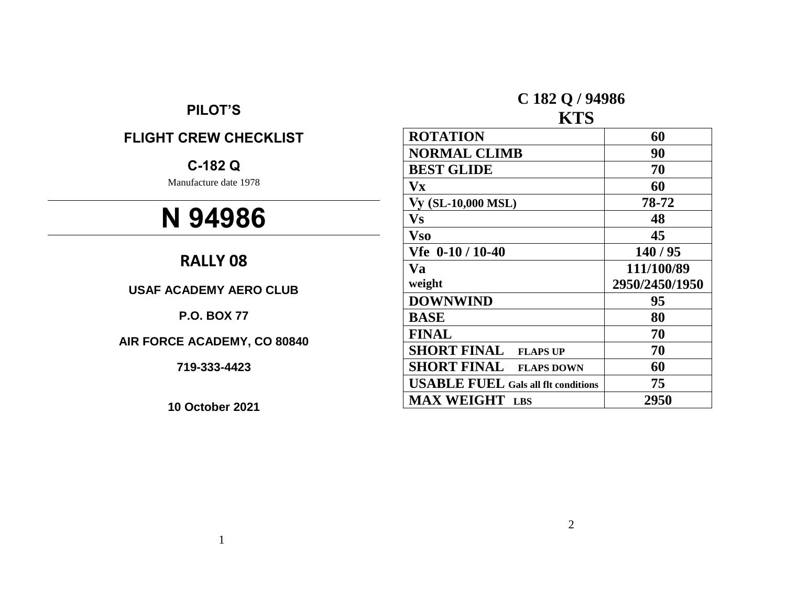# **PILOT'S**

# **FLIGHT CREW CHECKLIST**

# **C-182 Q**

Manufacture date 1978

# **N 94986**

# **RALLY 08**

**USAF ACADEMY AERO CLUB**

**P.O. BOX 77**

**AIR FORCE ACADEMY, CO 80840**

**719-333-4423**

**10 October 2021**

# **C 182 Q / 94986**

# **KTS**

| <b>ROTATION</b>                            | 60             |
|--------------------------------------------|----------------|
| <b>NORMAL CLIMB</b>                        | 90             |
| <b>BEST GLIDE</b>                          | 70             |
| $\mathbf{V}$ <b>x</b>                      | 60             |
| Vy (SL-10,000 MSL)                         | 78-72          |
| Vs                                         | 48             |
| <b>Vso</b>                                 | 45             |
| $Vfe$ 0-10 / 10-40                         | 140/95         |
| <b>Va</b>                                  | 111/100/89     |
| weight                                     | 2950/2450/1950 |
| <b>DOWNWIND</b>                            | 95             |
| <b>BASE</b>                                | 80             |
| <b>FINAL</b>                               | 70             |
| <b>SHORT FINAL</b><br><b>FLAPS UP</b>      | 70             |
| <b>SHORT FINAL</b><br><b>FLAPS DOWN</b>    | 60             |
| <b>USABLE FUEL Gals all flt conditions</b> | 75             |
| <b>MAX WEIGHT</b> LBS                      | 2950           |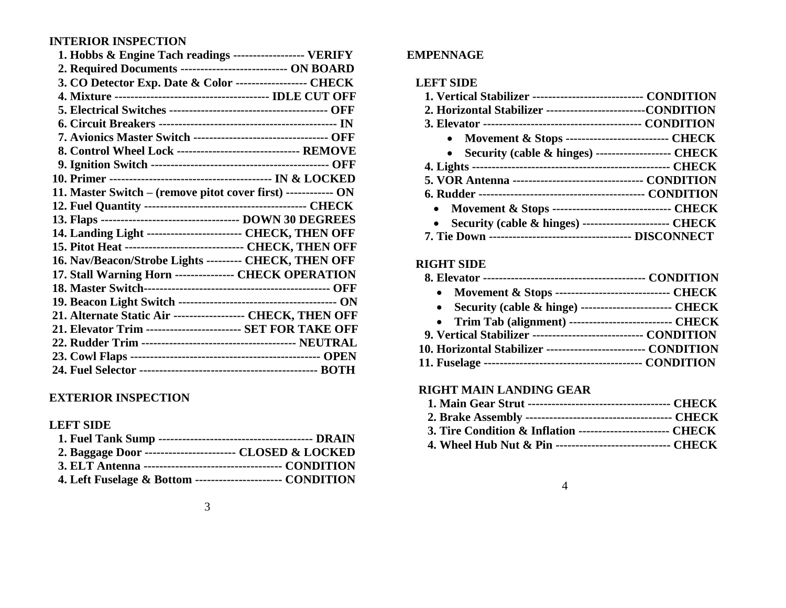# **INTERIOR INSPECTION**

| 1. Hobbs & Engine Tach readings ------------------ VERIFY        |  |
|------------------------------------------------------------------|--|
| 2. Required Documents ---------------------------- ON BOARD      |  |
| 3. CO Detector Exp. Date & Color ------------------ CHECK        |  |
|                                                                  |  |
|                                                                  |  |
|                                                                  |  |
| 7. Avionics Master Switch ---------------------------------- OFF |  |
| 8. Control Wheel Lock ------------------------------- REMOVE     |  |
|                                                                  |  |
|                                                                  |  |
| 11. Master Switch - (remove pitot cover first) ------------ ON   |  |
|                                                                  |  |
|                                                                  |  |
| 14. Landing Light ------------------------ CHECK, THEN OFF       |  |
| 15. Pitot Heat ------------------------------- CHECK, THEN OFF   |  |
| 16. Nav/Beacon/Strobe Lights --------- CHECK, THEN OFF           |  |
| 17. Stall Warning Horn ---------------- CHECK OPERATION          |  |
|                                                                  |  |
|                                                                  |  |
| 21. Alternate Static Air ------------------ CHECK, THEN OFF      |  |
| 21. Elevator Trim ------------------------ SET FOR TAKE OFF      |  |
|                                                                  |  |
|                                                                  |  |
|                                                                  |  |
|                                                                  |  |

# **EXTERIOR INSPECTION**

## **LEFT SIDE**

| 2. Baggage Door ------------------------- CLOSED & LOCKED   |  |
|-------------------------------------------------------------|--|
|                                                             |  |
| 4. Left Fuselage & Bottom ----------------------- CONDITION |  |

## **EMPENNAGE**

#### **LEFT SIDE**

| 1. Vertical Stabilizer ----------------------------- CONDITION |  |
|----------------------------------------------------------------|--|
| 2. Horizontal Stabilizer ----------------------------CONDITION |  |
|                                                                |  |
| • Movement & Stops ---------------------------- CHECK          |  |
| • Security (cable & hinges) --------------------- CHECK        |  |
|                                                                |  |
| 5. VOR Antenna ---------------------------------- CONDITION    |  |
|                                                                |  |
| • Movement & Stops ------------------------------- CHECK       |  |
| Security (cable & hinges) ----------------------- CHECK        |  |
|                                                                |  |

## **RIGHT SIDE**

| • Movement & Stops ------------------------------- CHECK        |  |
|-----------------------------------------------------------------|--|
| • Security (cable & hinge) -------------------------- CHECK     |  |
| • Trim Tab (alignment) --------------------------- CHECK        |  |
| 9. Vertical Stabilizer ------------------------------ CONDITION |  |
| 10. Horizontal Stabilizer --------------------------- CONDITION |  |
|                                                                 |  |

## **RIGHT MAIN LANDING GEAR**

| 3. Tire Condition & Inflation ------------------------ CHECK |  |
|--------------------------------------------------------------|--|
| 4. Wheel Hub Nut & Pin ------------------------------ CHECK  |  |

#### 4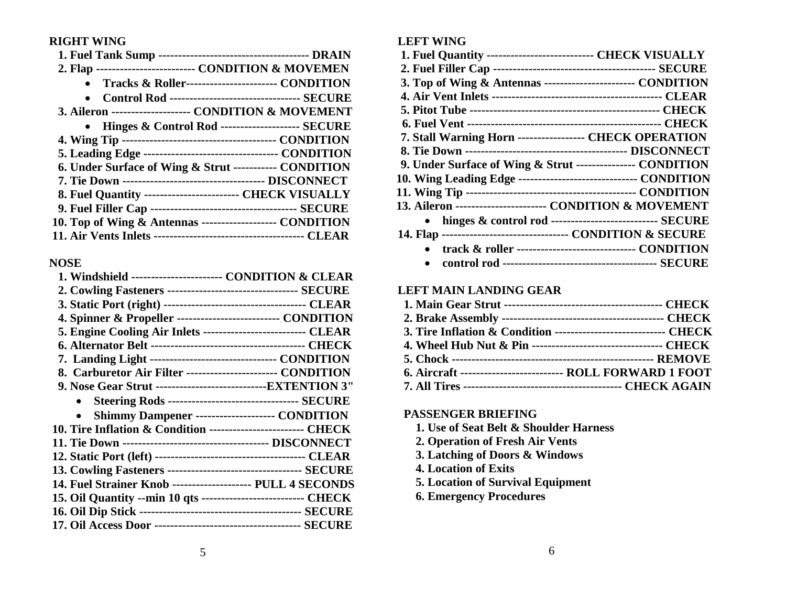#### **RIGHT WING**

| 2. Flap ------------------------- CONDITION & MOVEMEN         |
|---------------------------------------------------------------|
| Tracks & Roller------------------------ CONDITION             |
| <b>Control Rod --------------------------------- SECURE</b>   |
| 3. Aileron -------------------- CONDITION & MOVEMENT          |
| • Hinges & Control Rod --------------------- SECURE           |
|                                                               |
| 5. Leading Edge ----------------------------------- CONDITION |
| 6. Under Surface of Wing & Strut ----------- CONDITION        |
|                                                               |
| 8. Fuel Quantity ------------------------- CHECK VISUALLY     |
|                                                               |
| 10. Top of Wing & Antennas ------------------- CONDITION      |
|                                                               |

#### **NOSE**

| 1. Windshield ------------------------ CONDITION & CLEAR        |                                                                |
|-----------------------------------------------------------------|----------------------------------------------------------------|
| 2. Cowling Fasteners ---------------------------------- SECURE  |                                                                |
|                                                                 |                                                                |
| 4. Spinner & Propeller --------------------------- CONDITION    |                                                                |
| 5. Engine Cooling Air Inlets --------------------------- CLEAR  |                                                                |
|                                                                 |                                                                |
| 7. Landing Light --------------------------------- CONDITION    |                                                                |
| 8. Carburetor Air Filter ------------------------ CONDITION     |                                                                |
| 9. Nose Gear Strut --------------------------------EXTENTION 3" |                                                                |
|                                                                 | <b>Steering Rods ---------------------------------- SECURE</b> |
|                                                                 | <b>Shimmy Dampener -------------------- CONDITION</b>          |
| 10. Tire Inflation & Condition ------------------------ CHECK   |                                                                |
|                                                                 |                                                                |
|                                                                 |                                                                |
|                                                                 |                                                                |
| 14. Fuel Strainer Knob -------------------- PULL 4 SECONDS      |                                                                |
| 15. Oil Quantity --min 10 qts --------------------------- CHECK |                                                                |
|                                                                 |                                                                |
|                                                                 |                                                                |
|                                                                 |                                                                |

### **LEFT WING**

| 1. Fuel Quantity --------------------------- CHECK VISUALLY     |
|-----------------------------------------------------------------|
|                                                                 |
| 3. Top of Wing & Antennas ------------------------ CONDITION    |
|                                                                 |
|                                                                 |
|                                                                 |
| 7. Stall Warning Horn ----------------- CHECK OPERATION         |
|                                                                 |
| 9. Under Surface of Wing & Strut ---------------- CONDITION     |
| 10. Wing Leading Edge ------------------------------- CONDITION |
|                                                                 |
| 13. Aileron ------------------------ CONDITION & MOVEMENT       |
| • hinges & control rod ---------------------------- SECURE      |
| 14. Flap ---------------------------------- CONDITION & SECURE  |
| track & roller ------------------------------- CONDITION        |
| $\bullet$                                                       |

#### **LEFT MAIN LANDING GEAR**

| 3. Tire Inflation & Condition ------------------------------ CHECK |  |
|--------------------------------------------------------------------|--|
|                                                                    |  |
|                                                                    |  |
| 6. Aircraft ---------------------------- ROLL FORWARD 1 FOOT       |  |
|                                                                    |  |

#### **PASSENGER BRIEFING**

- **1. Use of Seat Belt & Shoulder Harness**
- **2. Operation of Fresh Air Vents**
- **3. Latching of Doors & Windows**
- **4. Location of Exits**
- **5. Location of Survival Equipment**
- **6. Emergency Procedures**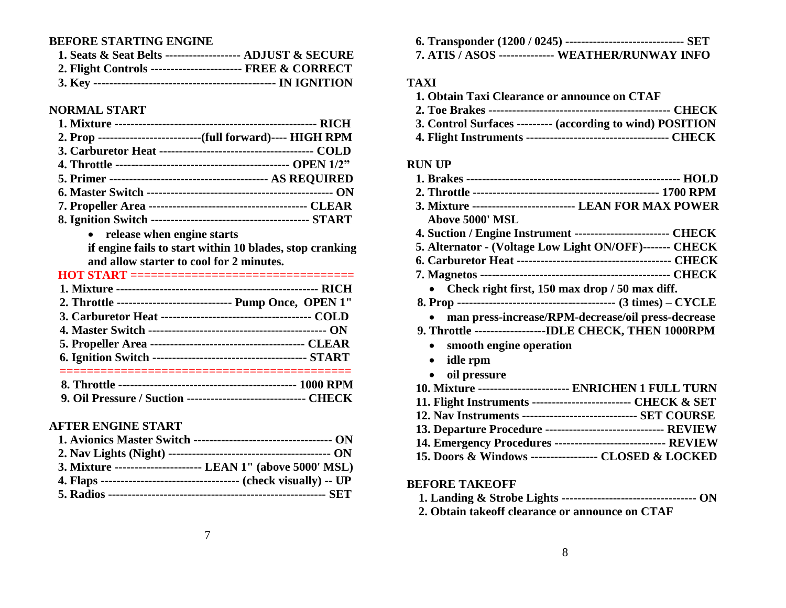# **BEFORE STARTING ENGINE**

| 1. Seats & Seat Belts -------------------- ADJUST & SECURE |  |
|------------------------------------------------------------|--|
| 2. Flight Controls ------------------------ FREE & CORRECT |  |
|                                                            |  |

### **NORMAL START**

|                                                                                                                | 2. Prop ----------------------------(full forward)---- HIGH RPM |
|----------------------------------------------------------------------------------------------------------------|-----------------------------------------------------------------|
|                                                                                                                |                                                                 |
|                                                                                                                |                                                                 |
|                                                                                                                |                                                                 |
|                                                                                                                |                                                                 |
|                                                                                                                |                                                                 |
|                                                                                                                |                                                                 |
| 그 그 사람들은 그 사람들은 그 사람들은 그 사람들을 지르며 그 사람들을 지르며 그 사람들을 지르며 그 사람들을 지르며 그 사람들을 지르며 그 사람들을 지르며 그 사람들을 지르며 그 사람들을 지르며 |                                                                 |

**release when engine starts**

**if engine fails to start within 10 blades, stop cranking and allow starter to cool for 2 minutes.**

| HOT START =================================                     |
|-----------------------------------------------------------------|
|                                                                 |
| 2. Throttle -----------------------------    Pump Once, OPEN 1" |
|                                                                 |
|                                                                 |
|                                                                 |
|                                                                 |
|                                                                 |
|                                                                 |

| 9. Oil Pressure / Suction ------------------------------- CHECK |  |
|-----------------------------------------------------------------|--|
|-----------------------------------------------------------------|--|

# **AFTER ENGINE START**

| 3. Mixture ----------------------- LEAN 1" (above 5000' MSL) |
|--------------------------------------------------------------|
|                                                              |
|                                                              |

| 6. Transponder (1200 / 0245) ---------------------------------- SET |  |
|---------------------------------------------------------------------|--|
| 7. ATIS / ASOS -------------- WEATHER/RUNWAY INFO                   |  |

## **TAXI**

| 1. Obtain Taxi Clearance or announce on CTAF               |  |
|------------------------------------------------------------|--|
|                                                            |  |
| 3. Control Surfaces --------- (according to wind) POSITION |  |
|                                                            |  |

#### **RUN UP**

| 3. Mixture -------------------------- LEAN FOR MAX POWER       |
|----------------------------------------------------------------|
| <b>Above 5000' MSL</b>                                         |
| 4. Suction / Engine Instrument ------------------------- CHECK |
| 5. Alternator - (Voltage Low Light ON/OFF)------- CHECK        |
|                                                                |
|                                                                |
| Check right first, 150 max drop / 50 max diff.                 |
|                                                                |
| man press-increase/RPM-decrease/oil press-decrease             |
| 9. Throttle -------------------IDLE CHECK, THEN 1000RPM        |
| smooth engine operation                                        |
| idle rpm                                                       |
| oil pressure                                                   |
| 10. Mixture ----------------------- ENRICHEN 1 FULL TURN       |
| 11. Flight Instruments -------------------------- CHECK & SET  |
| 12. Nav Instruments ------------------------------- SET COURSE |
| 13. Departure Procedure ------------------------------ REVIEW  |
| 14. Emergency Procedures ---------------------------- REVIEW   |
| 15. Doors & Windows ------------------ CLOSED & LOCKED         |

## **BEFORE TAKEOFF**

|--|--|--|--|--|--|--|--|

**2. Obtain takeoff clearance or announce on CTAF**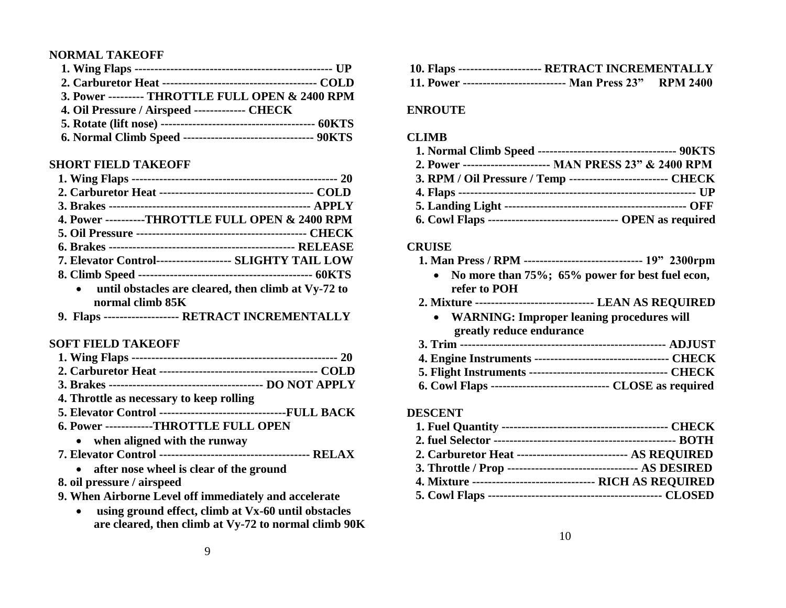#### **NORMAL TAKEOFF**

| 3. Power --------- THROTTLE FULL OPEN & 2400 RPM               |  |
|----------------------------------------------------------------|--|
| 4. Oil Pressure / Airspeed -------------- CHECK                |  |
|                                                                |  |
| 6. Normal Climb Speed ---------------------------------- 90KTS |  |

#### **SHORT FIELD TAKEOFF**

| 4. Power ----------THROTTLE FULL OPEN & 2400 RPM                        |  |
|-------------------------------------------------------------------------|--|
|                                                                         |  |
|                                                                         |  |
| 7. Elevator Control------------------- SLIGHTY TAIL LOW                 |  |
|                                                                         |  |
| until obstacles are cleared, then climb at Vy-72 to<br>normal climb 85K |  |
|                                                                         |  |

**9. Flaps ------------------- RETRACT INCREMENTALLY**

#### **SOFT FIELD TAKEOFF**

| 4. Throttle as necessary to keep rolling |  |
|------------------------------------------|--|

- **5. Elevator Control --------------------------------FULL BACK**
- **6. Power ------------THROTTLE FULL OPEN**
	- **when aligned with the runway**
- **7. Elevator Control -------------------------------------- RELAX**
	- **after nose wheel is clear of the ground**
- **8. oil pressure / airspeed**
- **9. When Airborne Level off immediately and accelerate** 
	- **using ground effect, climb at Vx-60 until obstacles are cleared, then climb at Vy-72 to normal climb 90K**

| 10. Flaps --------------------- RETRACT INCREMENTALLY        |  |  |
|--------------------------------------------------------------|--|--|
| 11. Power --------------------------- Man Press 23" RPM 2400 |  |  |

#### **ENROUTE**

#### **CLIMB**

| 2. Power ----------------------- MAN PRESS 23" & 2400 RPM         |  |
|-------------------------------------------------------------------|--|
| 3. RPM / Oil Pressure / Temp -------------------------- CHECK     |  |
|                                                                   |  |
|                                                                   |  |
| 6. Cowl Flaps ---------------------------------- OPEN as required |  |

#### **CRUISE**

- **1. Man Press / RPM ------------------------------ 19" 2300rpm**
	- **No more than 75%; 65% power for best fuel econ, refer to POH**
- **2. Mixture ------------------------------ LEAN AS REQUIRED**
	- **WARNING: Improper leaning procedures will greatly reduce endurance**
- **3. Trim ---------------------------------------------------- ADJUST**
- **4. Engine Instruments ---------------------------------- CHECK**
- **5. Flight Instruments ----------------------------------- CHECK 6. Cowl Flaps ------------------------------ CLOSE as required**

#### **DESCENT**

| 2. Carburetor Heat ----------------------------- AS REOUIRED      |  |
|-------------------------------------------------------------------|--|
| 3. Throttle / Prop ----------------------------------- AS DESIRED |  |
| 4. Mixture --------------------------------- RICH AS REQUIRED     |  |
|                                                                   |  |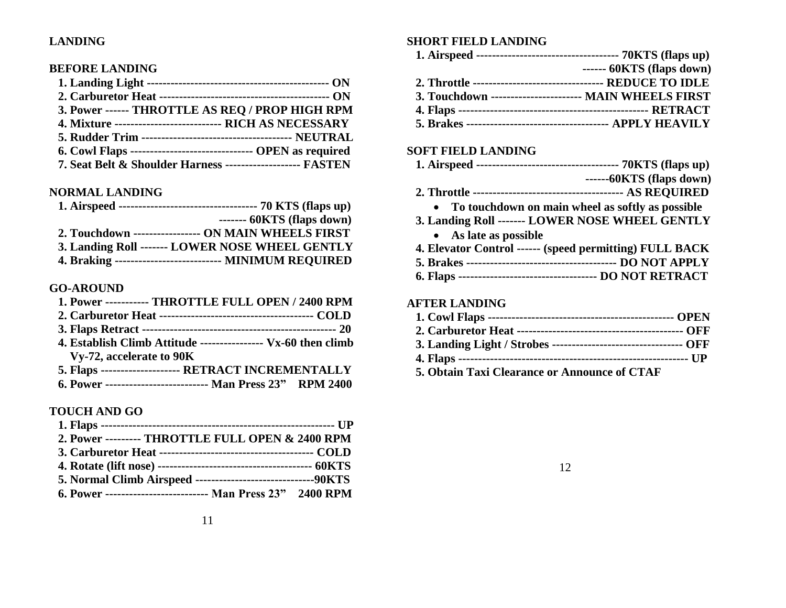#### **LANDING**

#### **BEFORE LANDING**

| 3. Power ------ THROTTLE AS REQ / PROP HIGH RPM                 |  |
|-----------------------------------------------------------------|--|
| 4. Mixture ----------------------------- RICH AS NECESSARY      |  |
|                                                                 |  |
| 6. Cowl Flaps -------------------------------- OPEN as required |  |
| 7. Seat Belt & Shoulder Harness --------------------- FASTEN    |  |

#### **NORMAL LANDING**

| $--- 60KTS$ (flaps down)                                |
|---------------------------------------------------------|
| 2. Touchdown ----------------- ON MAIN WHEELS FIRST     |
| 3. Landing Roll ------- LOWER NOSE WHEEL GENTLY         |
| 4. Braking --------------------------- MINIMUM REQUIRED |

#### **GO-AROUND**

| JV-ARVUID |                                                    |  |
|-----------|----------------------------------------------------|--|
|           | 1. Power ----------- THROTTLE FULL OPEN / 2400 RPM |  |

- **2. Carburetor Heat --------------------------------------- COLD**
- **3. Flaps Retract ------------------------------------------------- 20**
- **4. Establish Climb Attitude ---------------- Vx-60 then climb Vy-72, accelerate to 90K**
- **5. Flaps -------------------- RETRACT INCREMENTALLY 6. Power -------------------------- Man Press 23" RPM 2400**

#### **TOUCH AND GO**

| 2. Power --------- THROTTLE FULL OPEN & 2400 RPM            |  |
|-------------------------------------------------------------|--|
|                                                             |  |
|                                                             |  |
|                                                             |  |
| 6. Power --------------------------- Man Press 23" 2400 RPM |  |

#### **SHORT FIELD LANDING**

| $--- 60KTS$ (flaps down)                                      |
|---------------------------------------------------------------|
| 2. Throttle ---------------------------------- REDUCE TO IDLE |
| 3. Touchdown ----------------------- MAIN WHEELS FIRST        |
|                                                               |

 **5. Brakes ------------------------------------ APPLY HEAVILY** 

#### **SOFT FIELD LANDING**

| $---60KTS$ (flaps down)                                 |  |
|---------------------------------------------------------|--|
|                                                         |  |
| To touchdown on main wheel as softly as possible        |  |
| 3. Landing Roll ------- LOWER NOSE WHEEL GENTLY         |  |
| • As late as possible                                   |  |
| 4. Elevator Control ------ (speed permitting) FULL BACK |  |
|                                                         |  |
|                                                         |  |
|                                                         |  |
| AFTER LANDING                                           |  |

### **1. Cowl Flaps ----------------------------------------------- OPEN 2. Carburetor Heat ------------------------------------------ OFF 3. Landing Light / Strobes --------------------------------- OFF 4. Flaps ---------------------------------------------------------- UP**

**5. Obtain Taxi Clearance or Announce of CTAF**

12